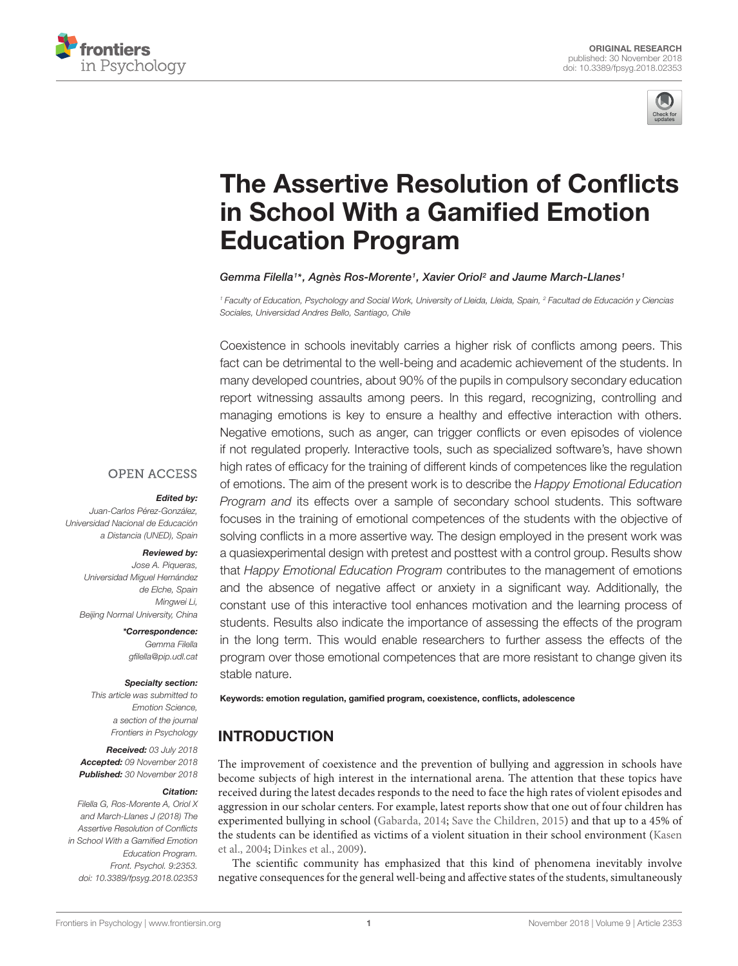



# [The Assertive Resolution of Conflicts](https://www.frontiersin.org/articles/10.3389/fpsyg.2018.02353/full) in School With a Gamified Emotion Education Program

#### Gemma Filella1\*, [Agnès Ros-Morente](http://loop.frontiersin.org/people/520686/overview)1, Xavier Oriol<sup>2</sup> and Jaume March-Llanes1

<sup>1</sup> Faculty of Education, Psychology and Social Work, University of Lleida, Lleida, Spain, <sup>2</sup> Facultad de Educación y Ciencias Sociales, Universidad Andres Bello, Santiago, Chile

Coexistence in schools inevitably carries a higher risk of conflicts among peers. This fact can be detrimental to the well-being and academic achievement of the students. In many developed countries, about 90% of the pupils in compulsory secondary education report witnessing assaults among peers. In this regard, recognizing, controlling and managing emotions is key to ensure a healthy and effective interaction with others. Negative emotions, such as anger, can trigger conflicts or even episodes of violence if not regulated properly. Interactive tools, such as specialized software's, have shown high rates of efficacy for the training of different kinds of competences like the regulation of emotions. The aim of the present work is to describe the Happy Emotional Education Program and its effects over a sample of secondary school students. This software focuses in the training of emotional competences of the students with the objective of solving conflicts in a more assertive way. The design employed in the present work was a quasiexperimental design with pretest and posttest with a control group. Results show that Happy Emotional Education Program contributes to the management of emotions and the absence of negative affect or anxiety in a significant way. Additionally, the constant use of this interactive tool enhances motivation and the learning process of students. Results also indicate the importance of assessing the effects of the program in the long term. This would enable researchers to further assess the effects of the program over those emotional competences that are more resistant to change given its stable nature.

## **OPEN ACCESS**

#### Edited by:

Juan-Carlos Pérez-González, Universidad Nacional de Educación a Distancia (UNED), Spain

#### Reviewed by:

Jose A. Pigueras, Universidad Miguel Hernández de Elche, Spain Mingwei Li, Beijing Normal University, China

> \*Correspondence: Gemma Filella gfilella@pip.udl.cat

#### Specialty section:

This article was submitted to Emotion Science, a section of the journal Frontiers in Psychology

Received: 03 July 2018 Accepted: 09 November 2018 Published: 30 November 2018

#### Citation:

Filella G, Ros-Morente A, Oriol X and March-Llanes J (2018) The Assertive Resolution of Conflicts in School With a Gamified Emotion Education Program. Front. Psychol. 9:2353. doi: [10.3389/fpsyg.2018.02353](https://doi.org/10.3389/fpsyg.2018.02353) Keywords: emotion regulation, gamified program, coexistence, conflicts, adolescence

# INTRODUCTION

The improvement of coexistence and the prevention of bullying and aggression in schools have become subjects of high interest in the international arena. The attention that these topics have received during the latest decades responds to the need to face the high rates of violent episodes and aggression in our scholar centers. For example, latest reports show that one out of four children has experimented bullying in school [\(Gabarda,](#page-6-0) [2014;](#page-6-0) [Save the Children,](#page-6-1) [2015\)](#page-6-1) and that up to a 45% of the students can be identified as victims of a violent situation in their school environment [\(Kasen](#page-6-2) [et al.,](#page-6-2) [2004;](#page-6-2) [Dinkes et al.,](#page-5-0) [2009\)](#page-5-0).

The scientific community has emphasized that this kind of phenomena inevitably involve negative consequences for the general well-being and affective states of the students, simultaneously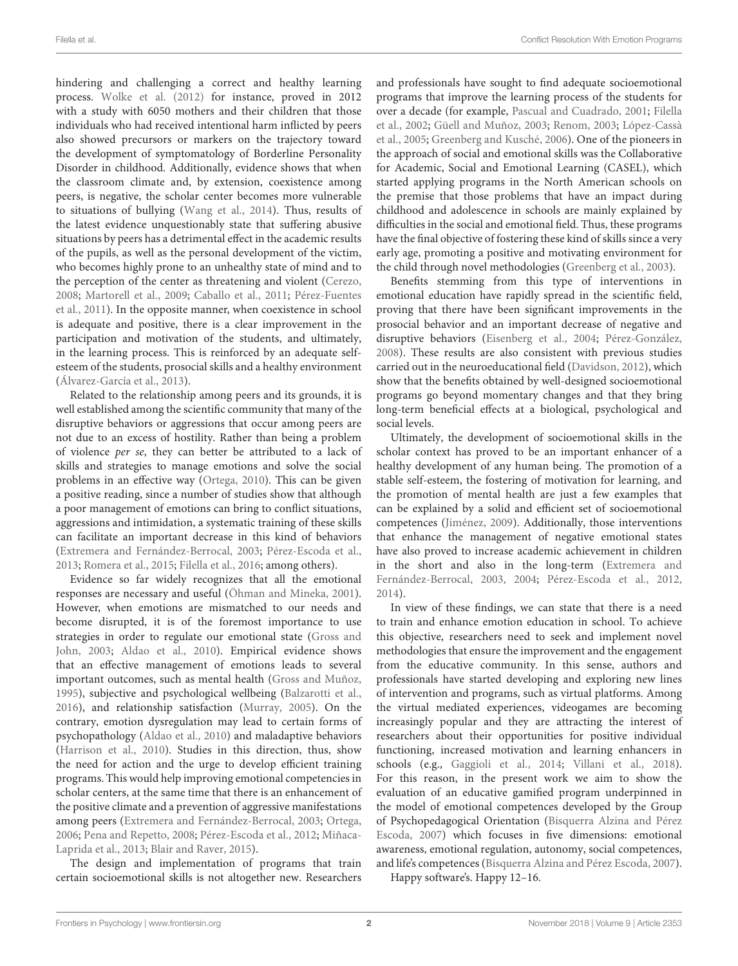hindering and challenging a correct and healthy learning process. [Wolke et al.](#page-7-0) [\(2012\)](#page-7-0) for instance, proved in 2012 with a study with 6050 mothers and their children that those individuals who had received intentional harm inflicted by peers also showed precursors or markers on the trajectory toward the development of symptomatology of Borderline Personality Disorder in childhood. Additionally, evidence shows that when the classroom climate and, by extension, coexistence among peers, is negative, the scholar center becomes more vulnerable to situations of bullying [\(Wang et al.,](#page-6-3) [2014\)](#page-6-3). Thus, results of the latest evidence unquestionably state that suffering abusive situations by peers has a detrimental effect in the academic results of the pupils, as well as the personal development of the victim, who becomes highly prone to an unhealthy state of mind and to the perception of the center as threatening and violent [\(Cerezo,](#page-5-1) [2008;](#page-5-1) [Martorell et al.,](#page-6-4) [2009;](#page-6-4) [Caballo et al.,](#page-5-2) [2011;](#page-5-2) [Pérez-Fuentes](#page-6-5) [et al.,](#page-6-5) [2011\)](#page-6-5). In the opposite manner, when coexistence in school is adequate and positive, there is a clear improvement in the participation and motivation of the students, and ultimately, in the learning process. This is reinforced by an adequate selfesteem of the students, prosocial skills and a healthy environment [\(Álvarez-García et al.,](#page-5-3) [2013\)](#page-5-3).

Related to the relationship among peers and its grounds, it is well established among the scientific community that many of the disruptive behaviors or aggressions that occur among peers are not due to an excess of hostility. Rather than being a problem of violence per se, they can better be attributed to a lack of skills and strategies to manage emotions and solve the social problems in an effective way [\(Ortega,](#page-6-6) [2010\)](#page-6-6). This can be given a positive reading, since a number of studies show that although a poor management of emotions can bring to conflict situations, aggressions and intimidation, a systematic training of these skills can facilitate an important decrease in this kind of behaviors [\(Extremera and Fernández-Berrocal,](#page-6-7) [2003;](#page-6-7) [Pérez-Escoda et al.,](#page-6-8) [2013;](#page-6-8) [Romera et al.,](#page-6-9) [2015;](#page-6-9) [Filella et al.,](#page-6-10) [2016;](#page-6-10) among others).

Evidence so far widely recognizes that all the emotional responses are necessary and useful [\(Öhman and Mineka,](#page-6-11) [2001\)](#page-6-11). However, when emotions are mismatched to our needs and become disrupted, it is of the foremost importance to use strategies in order to regulate our emotional state [\(Gross and](#page-6-12) [John,](#page-6-12) [2003;](#page-6-12) [Aldao et al.,](#page-5-4) [2010\)](#page-5-4). Empirical evidence shows that an effective management of emotions leads to several important outcomes, such as mental health [\(Gross and Muñoz,](#page-6-13) [1995\)](#page-6-13), subjective and psychological wellbeing [\(Balzarotti et al.,](#page-5-5) [2016\)](#page-5-5), and relationship satisfaction [\(Murray,](#page-6-14) [2005\)](#page-6-14). On the contrary, emotion dysregulation may lead to certain forms of psychopathology [\(Aldao et al.,](#page-5-4) [2010\)](#page-5-4) and maladaptive behaviors [\(Harrison et al.,](#page-6-15) [2010\)](#page-6-15). Studies in this direction, thus, show the need for action and the urge to develop efficient training programs. This would help improving emotional competencies in scholar centers, at the same time that there is an enhancement of the positive climate and a prevention of aggressive manifestations among peers [\(Extremera and Fernández-Berrocal,](#page-6-7) [2003;](#page-6-7) [Ortega,](#page-6-16) [2006;](#page-6-16) [Pena and Repetto,](#page-6-17) [2008;](#page-6-17) [Pérez-Escoda et al.,](#page-6-18) [2012;](#page-6-18) [Miñaca-](#page-6-19)[Laprida et al.,](#page-6-19) [2013;](#page-6-19) [Blair and Raver,](#page-5-6) [2015\)](#page-5-6).

The design and implementation of programs that train certain socioemotional skills is not altogether new. Researchers and professionals have sought to find adequate socioemotional programs that improve the learning process of the students for over a decade (for example, [Pascual and Cuadrado,](#page-6-20) [2001;](#page-6-20) [Filella](#page-6-21) [et al.,](#page-6-21) [2002;](#page-6-21) [Güell and Muñoz,](#page-6-22) [2003;](#page-6-22) [Renom,](#page-6-23) [2003;](#page-6-23) [López-Cassà](#page-6-24) [et al.,](#page-6-24) [2005;](#page-6-24) [Greenberg and Kusché,](#page-6-25) [2006\)](#page-6-25). One of the pioneers in the approach of social and emotional skills was the Collaborative for Academic, Social and Emotional Learning (CASEL), which started applying programs in the North American schools on the premise that those problems that have an impact during childhood and adolescence in schools are mainly explained by difficulties in the social and emotional field. Thus, these programs have the final objective of fostering these kind of skills since a very early age, promoting a positive and motivating environment for the child through novel methodologies [\(Greenberg et al.,](#page-6-26) [2003\)](#page-6-26).

Benefits stemming from this type of interventions in emotional education have rapidly spread in the scientific field, proving that there have been significant improvements in the prosocial behavior and an important decrease of negative and disruptive behaviors [\(Eisenberg et al.,](#page-6-27) [2004;](#page-6-27) [Pérez-González,](#page-6-28) [2008\)](#page-6-28). These results are also consistent with previous studies carried out in the neuroeducational field [\(Davidson,](#page-5-7) [2012\)](#page-5-7), which show that the benefits obtained by well-designed socioemotional programs go beyond momentary changes and that they bring long-term beneficial effects at a biological, psychological and social levels.

Ultimately, the development of socioemotional skills in the scholar context has proved to be an important enhancer of a healthy development of any human being. The promotion of a stable self-esteem, the fostering of motivation for learning, and the promotion of mental health are just a few examples that can be explained by a solid and efficient set of socioemotional competences [\(Jiménez,](#page-6-29) [2009\)](#page-6-29). Additionally, those interventions that enhance the management of negative emotional states have also proved to increase academic achievement in children in the short and also in the long-term [\(Extremera and](#page-6-7) [Fernández-Berrocal,](#page-6-7) [2003,](#page-6-7) [2004;](#page-6-30) [Pérez-Escoda et al.,](#page-6-18) [2012,](#page-6-18) [2014\)](#page-6-31).

In view of these findings, we can state that there is a need to train and enhance emotion education in school. To achieve this objective, researchers need to seek and implement novel methodologies that ensure the improvement and the engagement from the educative community. In this sense, authors and professionals have started developing and exploring new lines of intervention and programs, such as virtual platforms. Among the virtual mediated experiences, videogames are becoming increasingly popular and they are attracting the interest of researchers about their opportunities for positive individual functioning, increased motivation and learning enhancers in schools (e.g., [Gaggioli et al.,](#page-6-32) [2014;](#page-6-32) [Villani et al.,](#page-6-33) [2018\)](#page-6-33). For this reason, in the present work we aim to show the evaluation of an educative gamified program underpinned in the model of emotional competences developed by the Group of Psychopedagogical Orientation [\(Bisquerra Alzina and Pérez](#page-5-8) [Escoda,](#page-5-8) [2007\)](#page-5-8) which focuses in five dimensions: emotional awareness, emotional regulation, autonomy, social competences, and life's competences [\(Bisquerra Alzina and Pérez Escoda,](#page-5-8) [2007\)](#page-5-8).

Happy software's. Happy 12–16.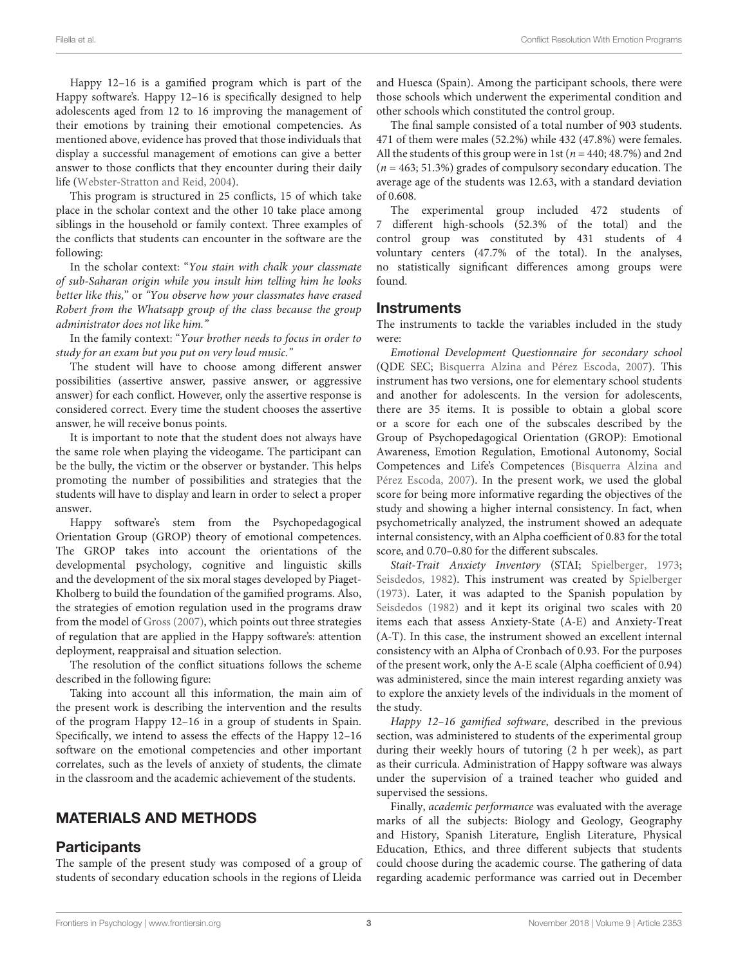Happy 12–16 is a gamified program which is part of the Happy software's. Happy 12–16 is specifically designed to help adolescents aged from 12 to 16 improving the management of their emotions by training their emotional competencies. As mentioned above, evidence has proved that those individuals that display a successful management of emotions can give a better answer to those conflicts that they encounter during their daily life [\(Webster-Stratton and Reid,](#page-6-34) [2004\)](#page-6-34).

This program is structured in 25 conflicts, 15 of which take place in the scholar context and the other 10 take place among siblings in the household or family context. Three examples of the conflicts that students can encounter in the software are the following:

In the scholar context: "You stain with chalk your classmate of sub-Saharan origin while you insult him telling him he looks better like this," or "You observe how your classmates have erased Robert from the Whatsapp group of the class because the group administrator does not like him."

In the family context: "Your brother needs to focus in order to study for an exam but you put on very loud music."

The student will have to choose among different answer possibilities (assertive answer, passive answer, or aggressive answer) for each conflict. However, only the assertive response is considered correct. Every time the student chooses the assertive answer, he will receive bonus points.

It is important to note that the student does not always have the same role when playing the videogame. The participant can be the bully, the victim or the observer or bystander. This helps promoting the number of possibilities and strategies that the students will have to display and learn in order to select a proper answer.

Happy software's stem from the Psychopedagogical Orientation Group (GROP) theory of emotional competences. The GROP takes into account the orientations of the developmental psychology, cognitive and linguistic skills and the development of the six moral stages developed by Piaget-Kholberg to build the foundation of the gamified programs. Also, the strategies of emotion regulation used in the programs draw from the model of [Gross](#page-6-35) [\(2007\)](#page-6-35), which points out three strategies of regulation that are applied in the Happy software's: attention deployment, reappraisal and situation selection.

The resolution of the conflict situations follows the scheme described in the following figure:

Taking into account all this information, the main aim of the present work is describing the intervention and the results of the program Happy 12–16 in a group of students in Spain. Specifically, we intend to assess the effects of the Happy 12–16 software on the emotional competencies and other important correlates, such as the levels of anxiety of students, the climate in the classroom and the academic achievement of the students.

# MATERIALS AND METHODS

## **Participants**

The sample of the present study was composed of a group of students of secondary education schools in the regions of Lleida

and Huesca (Spain). Among the participant schools, there were those schools which underwent the experimental condition and other schools which constituted the control group.

The final sample consisted of a total number of 903 students. 471 of them were males (52.2%) while 432 (47.8%) were females. All the students of this group were in 1st ( $n = 440$ ; 48.7%) and 2nd  $(n = 463; 51.3%)$  grades of compulsory secondary education. The average age of the students was 12.63, with a standard deviation of 0.608.

The experimental group included 472 students of 7 different high-schools (52.3% of the total) and the control group was constituted by 431 students of 4 voluntary centers (47.7% of the total). In the analyses, no statistically significant differences among groups were found.

### **Instruments**

The instruments to tackle the variables included in the study were:

Emotional Development Questionnaire for secondary school (QDE SEC; [Bisquerra Alzina and Pérez Escoda,](#page-5-8) [2007\)](#page-5-8). This instrument has two versions, one for elementary school students and another for adolescents. In the version for adolescents, there are 35 items. It is possible to obtain a global score or a score for each one of the subscales described by the Group of Psychopedagogical Orientation (GROP): Emotional Awareness, Emotion Regulation, Emotional Autonomy, Social Competences and Life's Competences [\(Bisquerra Alzina and](#page-5-8) [Pérez Escoda,](#page-5-8) [2007\)](#page-5-8). In the present work, we used the global score for being more informative regarding the objectives of the study and showing a higher internal consistency. In fact, when psychometrically analyzed, the instrument showed an adequate internal consistency, with an Alpha coefficient of 0.83 for the total score, and 0.70–0.80 for the different subscales.

Stait-Trait Anxiety Inventory (STAI; [Spielberger,](#page-6-36) [1973;](#page-6-36) [Seisdedos,](#page-6-37) [1982\)](#page-6-37). This instrument was created by [Spielberger](#page-6-36) [\(1973\)](#page-6-36). Later, it was adapted to the Spanish population by [Seisdedos](#page-6-37) [\(1982\)](#page-6-37) and it kept its original two scales with 20 items each that assess Anxiety-State (A-E) and Anxiety-Treat (A-T). In this case, the instrument showed an excellent internal consistency with an Alpha of Cronbach of 0.93. For the purposes of the present work, only the A-E scale (Alpha coefficient of 0.94) was administered, since the main interest regarding anxiety was to explore the anxiety levels of the individuals in the moment of the study.

Happy 12–16 gamified software, described in the previous section, was administered to students of the experimental group during their weekly hours of tutoring (2 h per week), as part as their curricula. Administration of Happy software was always under the supervision of a trained teacher who guided and supervised the sessions.

Finally, academic performance was evaluated with the average marks of all the subjects: Biology and Geology, Geography and History, Spanish Literature, English Literature, Physical Education, Ethics, and three different subjects that students could choose during the academic course. The gathering of data regarding academic performance was carried out in December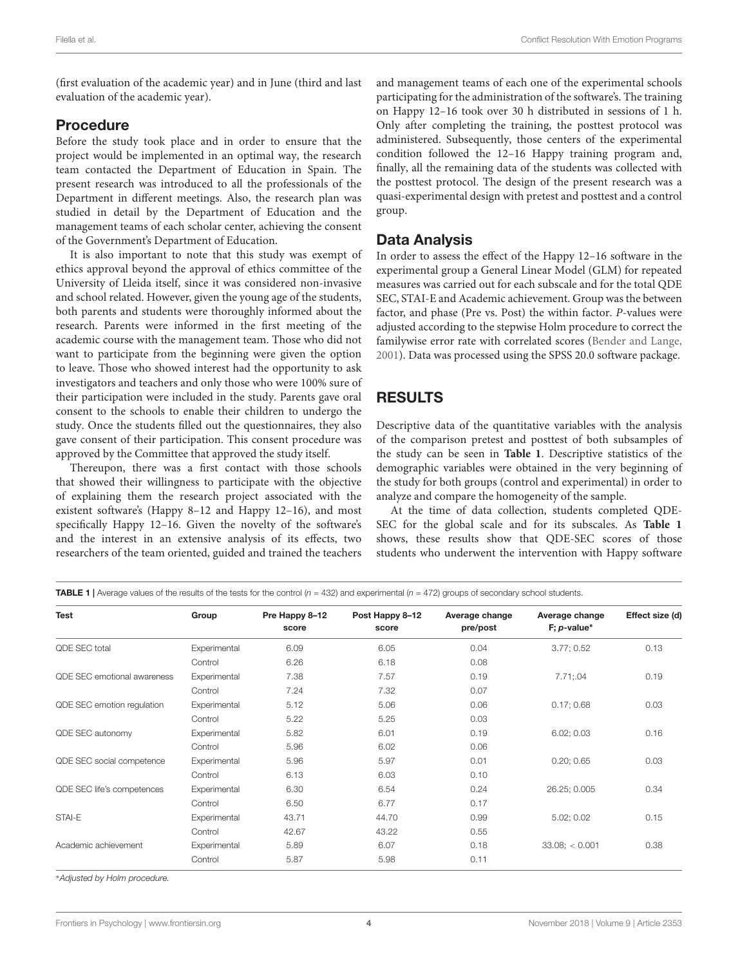(first evaluation of the academic year) and in June (third and last evaluation of the academic year).

## Procedure

Before the study took place and in order to ensure that the project would be implemented in an optimal way, the research team contacted the Department of Education in Spain. The present research was introduced to all the professionals of the Department in different meetings. Also, the research plan was studied in detail by the Department of Education and the management teams of each scholar center, achieving the consent of the Government's Department of Education.

It is also important to note that this study was exempt of ethics approval beyond the approval of ethics committee of the University of Lleida itself, since it was considered non-invasive and school related. However, given the young age of the students, both parents and students were thoroughly informed about the research. Parents were informed in the first meeting of the academic course with the management team. Those who did not want to participate from the beginning were given the option to leave. Those who showed interest had the opportunity to ask investigators and teachers and only those who were 100% sure of their participation were included in the study. Parents gave oral consent to the schools to enable their children to undergo the study. Once the students filled out the questionnaires, they also gave consent of their participation. This consent procedure was approved by the Committee that approved the study itself.

Thereupon, there was a first contact with those schools that showed their willingness to participate with the objective of explaining them the research project associated with the existent software's (Happy 8–12 and Happy 12–16), and most specifically Happy 12–16. Given the novelty of the software's and the interest in an extensive analysis of its effects, two researchers of the team oriented, guided and trained the teachers and management teams of each one of the experimental schools participating for the administration of the software's. The training on Happy 12–16 took over 30 h distributed in sessions of 1 h. Only after completing the training, the posttest protocol was administered. Subsequently, those centers of the experimental condition followed the 12–16 Happy training program and, finally, all the remaining data of the students was collected with the posttest protocol. The design of the present research was a quasi-experimental design with pretest and posttest and a control group.

## Data Analysis

In order to assess the effect of the Happy 12–16 software in the experimental group a General Linear Model (GLM) for repeated measures was carried out for each subscale and for the total QDE SEC, STAI-E and Academic achievement. Group was the between factor, and phase (Pre vs. Post) the within factor. P-values were adjusted according to the stepwise Holm procedure to correct the familywise error rate with correlated scores [\(Bender and Lange,](#page-5-9) [2001\)](#page-5-9). Data was processed using the SPSS 20.0 software package.

# RESULTS

Descriptive data of the quantitative variables with the analysis of the comparison pretest and posttest of both subsamples of the study can be seen in **[Table 1](#page-3-0)**. Descriptive statistics of the demographic variables were obtained in the very beginning of the study for both groups (control and experimental) in order to analyze and compare the homogeneity of the sample.

At the time of data collection, students completed QDE-SEC for the global scale and for its subscales. As **[Table 1](#page-3-0)** shows, these results show that QDE-SEC scores of those students who underwent the intervention with Happy software

<span id="page-3-0"></span>**TABLE 1** | Average values of the results of the tests for the control  $(n = 432)$  and experimental  $(n = 472)$  groups of secondary school students.

| Test                        | Group        | Pre Happy 8-12<br>score | Post Happy 8-12<br>score | Average change<br>pre/post | Average change<br>$F$ ; $p$ -value* | Effect size (d) |
|-----------------------------|--------------|-------------------------|--------------------------|----------------------------|-------------------------------------|-----------------|
| <b>QDE SEC total</b>        | Experimental | 6.09                    | 6.05                     | 0.04                       | 3.77;0.52                           | 0.13            |
|                             | Control      | 6.26                    | 6.18                     | 0.08                       |                                     |                 |
| QDE SEC emotional awareness | Experimental | 7.38                    | 7.57                     | 0.19                       | 7.71:04                             | 0.19            |
|                             | Control      | 7.24                    | 7.32                     | 0.07                       |                                     |                 |
| QDE SEC emotion regulation  | Experimental | 5.12                    | 5.06                     | 0.06                       | 0.17;0.68                           | 0.03            |
|                             | Control      | 5.22                    | 5.25                     | 0.03                       |                                     |                 |
| QDE SEC autonomy            | Experimental | 5.82                    | 6.01                     | 0.19                       | 6.02; 0.03                          | 0.16            |
|                             | Control      | 5.96                    | 6.02                     | 0.06                       |                                     |                 |
| QDE SEC social competence   | Experimental | 5.96                    | 5.97                     | 0.01                       | 0.20; 0.65                          | 0.03            |
|                             | Control      | 6.13                    | 6.03                     | 0.10                       |                                     |                 |
| QDE SEC life's competences  | Experimental | 6.30                    | 6.54                     | 0.24                       | 26.25; 0.005                        | 0.34            |
|                             | Control      | 6.50                    | 6.77                     | 0.17                       |                                     |                 |
| STAI-E                      | Experimental | 43.71                   | 44.70                    | 0.99                       | 5.02; 0.02                          | 0.15            |
|                             | Control      | 42.67                   | 43.22                    | 0.55                       |                                     |                 |
| Academic achievement        | Experimental | 5.89                    | 6.07                     | 0.18                       | $33.08$ ; $< 0.001$                 | 0.38            |
|                             | Control      | 5.87                    | 5.98                     | 0.11                       |                                     |                 |

<sup>∗</sup>Adjusted by Holm procedure.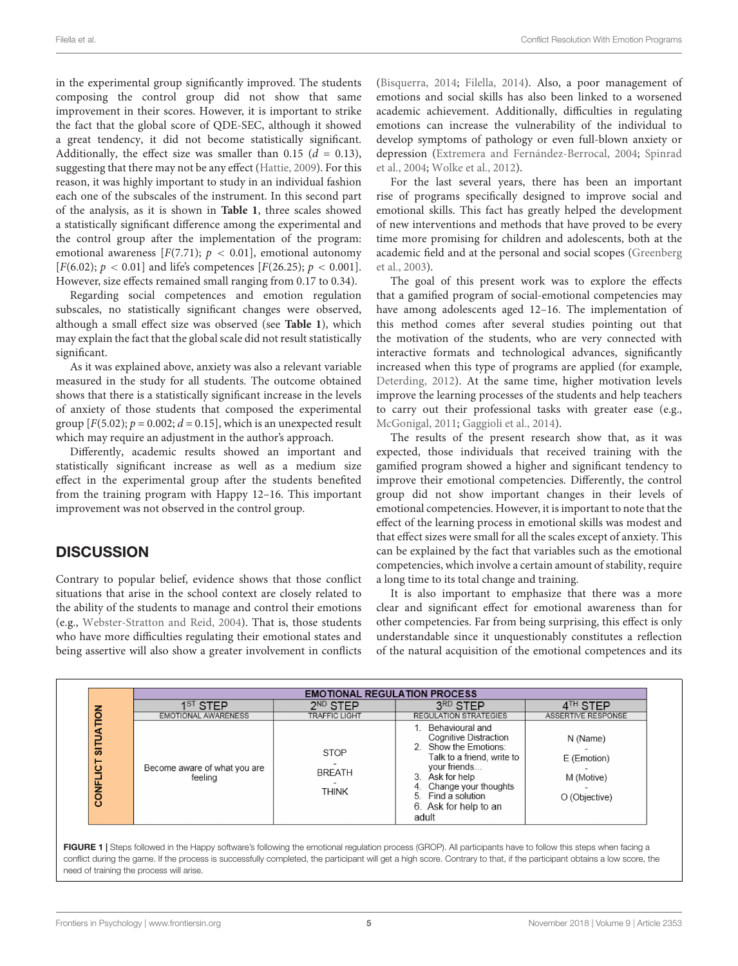in the experimental group significantly improved. The students composing the control group did not show that same improvement in their scores. However, it is important to strike the fact that the global score of QDE-SEC, although it showed a great tendency, it did not become statistically significant. Additionally, the effect size was smaller than 0.15 ( $d = 0.13$ ), suggesting that there may not be any effect [\(Hattie,](#page-6-38) [2009\)](#page-6-38). For this reason, it was highly important to study in an individual fashion each one of the subscales of the instrument. In this second part of the analysis, as it is shown in **[Table 1](#page-3-0)**, three scales showed a statistically significant difference among the experimental and the control group after the implementation of the program: emotional awareness [ $F(7.71)$ ;  $p < 0.01$ ], emotional autonomy [ $F(6.02)$ ;  $p < 0.01$ ] and life's competences [ $F(26.25)$ ;  $p < 0.001$ ]. However, size effects remained small ranging from 0.17 to 0.34).

Regarding social competences and emotion regulation subscales, no statistically significant changes were observed, although a small effect size was observed (see **[Table 1](#page-3-0)**), which may explain the fact that the global scale did not result statistically significant.

As it was explained above, anxiety was also a relevant variable measured in the study for all students. The outcome obtained shows that there is a statistically significant increase in the levels of anxiety of those students that composed the experimental group  $[F(5.02); p = 0.002; d = 0.15]$ , which is an unexpected result which may require an adjustment in the author's approach.

Differently, academic results showed an important and statistically significant increase as well as a medium size effect in the experimental group after the students benefited from the training program with Happy 12–16. This important improvement was not observed in the control group.

# **DISCUSSION**

Contrary to popular belief, evidence shows that those conflict situations that arise in the school context are closely related to the ability of the students to manage and control their emotions (e.g., [Webster-Stratton and Reid,](#page-6-34) [2004\)](#page-6-34). That is, those students who have more difficulties regulating their emotional states and being assertive will also show a greater involvement in conflicts

[\(Bisquerra,](#page-5-10) [2014;](#page-5-10) [Filella,](#page-6-39) [2014\)](#page-6-39). Also, a poor management of emotions and social skills has also been linked to a worsened academic achievement. Additionally, difficulties in regulating emotions can increase the vulnerability of the individual to develop symptoms of pathology or even full-blown anxiety or depression [\(Extremera and Fernández-Berrocal,](#page-6-30) [2004;](#page-6-30) [Spinrad](#page-6-40) [et al.,](#page-6-40) [2004;](#page-6-40) [Wolke et al.,](#page-7-0) [2012\)](#page-7-0).

For the last several years, there has been an important rise of programs specifically designed to improve social and emotional skills. This fact has greatly helped the development of new interventions and methods that have proved to be every time more promising for children and adolescents, both at the academic field and at the personal and social scopes [\(Greenberg](#page-6-26) [et al.,](#page-6-26) [2003\)](#page-6-26).

The goal of this present work was to explore the effects that a gamified program of social-emotional competencies may have among adolescents aged 12–16. The implementation of this method comes after several studies pointing out that the motivation of the students, who are very connected with interactive formats and technological advances, significantly increased when this type of programs are applied (for example, [Deterding,](#page-5-11) [2012\)](#page-5-11). At the same time, higher motivation levels improve the learning processes of the students and help teachers to carry out their professional tasks with greater ease (e.g., [McGonigal,](#page-6-41) [2011;](#page-6-41) [Gaggioli et al.,](#page-6-32) [2014\)](#page-6-32).

The results of the present research show that, as it was expected, those individuals that received training with the gamified program showed a higher and significant tendency to improve their emotional competencies. Differently, the control group did not show important changes in their levels of emotional competencies. However, it is important to note that the effect of the learning process in emotional skills was modest and that effect sizes were small for all the scales except of anxiety. This can be explained by the fact that variables such as the emotional competencies, which involve a certain amount of stability, require a long time to its total change and training.

It is also important to emphasize that there was a more clear and significant effect for emotional awareness than for other competencies. Far from being surprising, this effect is only understandable since it unquestionably constitutes a reflection of the natural acquisition of the emotional competences and its

|                                 | <b>EMOTIONAL REGULATION PROCESS</b>     |                                              |                                                                                                                                                                                                                       |                                                        |  |  |
|---------------------------------|-----------------------------------------|----------------------------------------------|-----------------------------------------------------------------------------------------------------------------------------------------------------------------------------------------------------------------------|--------------------------------------------------------|--|--|
|                                 | 1 <sup>ST</sup> STEP                    | 2 <sup>ND</sup> STEP                         | 3RD STEP                                                                                                                                                                                                              | 4 <sup>TH</sup> STEP                                   |  |  |
| NOIT                            | <b>EMOTIONAL AWARENESS</b>              | <b>TRAFFIC LIGHT</b>                         | <b>REGULATION STRATEGIES</b>                                                                                                                                                                                          | ASSERTIVE RESPONSE                                     |  |  |
| SITUA<br>٠<br><u>ပ</u><br>CONFI | Become aware of what you are<br>feeling | <b>STOP</b><br><b>BREATH</b><br><b>THINK</b> | Behavioural and<br>Cognitive Distraction<br>2. Show the Emotions:<br>Talk to a friend, write to<br>your friends<br>Ask for help<br>3.<br>Change your thoughts<br>5. Find a solution<br>6. Ask for help to an<br>adult | N (Name)<br>E (Emotion)<br>M (Motive)<br>O (Objective) |  |  |

<span id="page-4-0"></span>FIGURE 1 | Steps followed in the Happy software's following the emotional regulation process (GROP). All participants have to follow this steps when facing a conflict during the game. If the process is successfully completed, the participant will get a high score. Contrary to that, if the participant obtains a low score, the need of training the process will arise.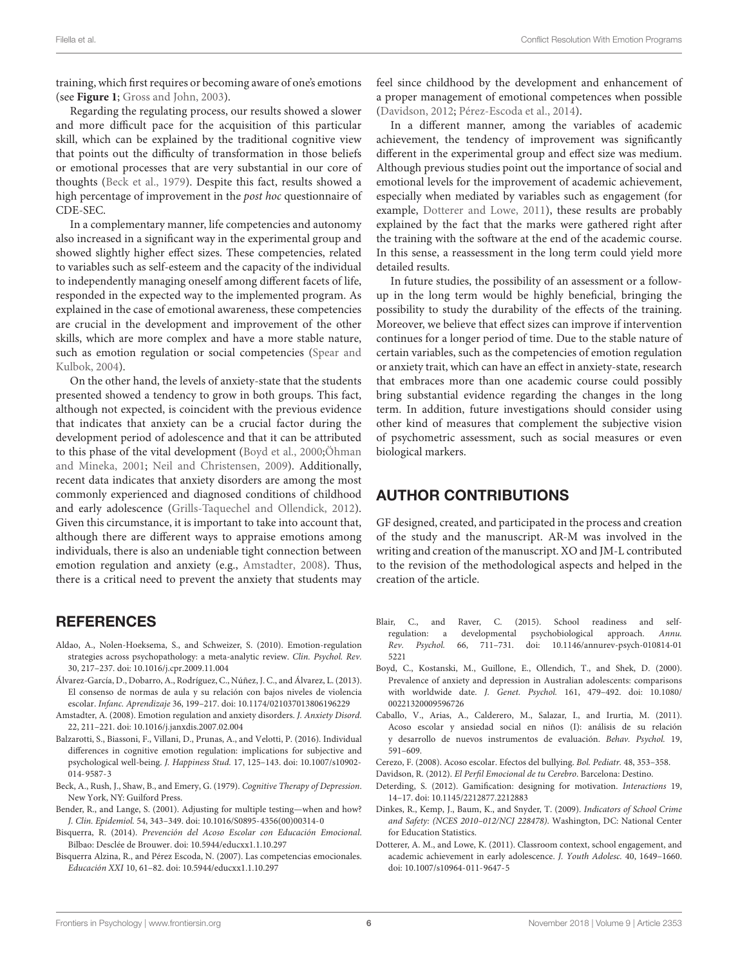training, which first requires or becoming aware of one's emotions (see **[Figure 1](#page-4-0)**; [Gross and John,](#page-6-12) [2003\)](#page-6-12).

Regarding the regulating process, our results showed a slower and more difficult pace for the acquisition of this particular skill, which can be explained by the traditional cognitive view that points out the difficulty of transformation in those beliefs or emotional processes that are very substantial in our core of thoughts [\(Beck et al.,](#page-5-12) [1979\)](#page-5-12). Despite this fact, results showed a high percentage of improvement in the post hoc questionnaire of CDE-SEC.

In a complementary manner, life competencies and autonomy also increased in a significant way in the experimental group and showed slightly higher effect sizes. These competencies, related to variables such as self-esteem and the capacity of the individual to independently managing oneself among different facets of life, responded in the expected way to the implemented program. As explained in the case of emotional awareness, these competencies are crucial in the development and improvement of the other skills, which are more complex and have a more stable nature, such as emotion regulation or social competencies [\(Spear and](#page-6-42) [Kulbok,](#page-6-42) [2004\)](#page-6-42).

On the other hand, the levels of anxiety-state that the students presented showed a tendency to grow in both groups. This fact, although not expected, is coincident with the previous evidence that indicates that anxiety can be a crucial factor during the development period of adolescence and that it can be attributed to this phase of the vital development [\(Boyd et al.,](#page-5-13) [2000](#page-5-13)[;Öhman](#page-6-11) [and Mineka,](#page-6-11) [2001;](#page-6-11) [Neil and Christensen,](#page-6-43) [2009\)](#page-6-43). Additionally, recent data indicates that anxiety disorders are among the most commonly experienced and diagnosed conditions of childhood and early adolescence [\(Grills-Taquechel and Ollendick,](#page-6-44) [2012\)](#page-6-44). Given this circumstance, it is important to take into account that, although there are different ways to appraise emotions among individuals, there is also an undeniable tight connection between emotion regulation and anxiety (e.g., [Amstadter,](#page-5-14) [2008\)](#page-5-14). Thus, there is a critical need to prevent the anxiety that students may

# **REFERENCES**

- <span id="page-5-4"></span>Aldao, A., Nolen-Hoeksema, S., and Schweizer, S. (2010). Emotion-regulation strategies across psychopathology: a meta-analytic review. Clin. Psychol. Rev. 30, 217–237. [doi: 10.1016/j.cpr.2009.11.004](https://doi.org/10.1016/j.cpr.2009.11.004)
- <span id="page-5-3"></span>Álvarez-García, D., Dobarro, A., Rodríguez, C., Núñez, J. C., and Álvarez, L. (2013). El consenso de normas de aula y su relación con bajos niveles de violencia escolar. Infanc. Aprendizaje 36, 199–217. [doi: 10.1174/021037013806196229](https://doi.org/10.1174/021037013806196229)
- <span id="page-5-14"></span>Amstadter, A. (2008). Emotion regulation and anxiety disorders. J. Anxiety Disord. 22, 211–221. [doi: 10.1016/j.janxdis.2007.02.004](https://doi.org/10.1016/j.janxdis.2007.02.004)
- <span id="page-5-5"></span>Balzarotti, S., Biassoni, F., Villani, D., Prunas, A., and Velotti, P. (2016). Individual differences in cognitive emotion regulation: implications for subjective and psychological well-being. J. Happiness Stud. 17, 125–143. [doi: 10.1007/s10902-](https://doi.org/10.1007/s10902-014-9587-3) [014-9587-3](https://doi.org/10.1007/s10902-014-9587-3)
- <span id="page-5-12"></span>Beck, A., Rush, J., Shaw, B., and Emery, G. (1979). Cognitive Therapy of Depression. New York, NY: Guilford Press.
- <span id="page-5-9"></span>Bender, R., and Lange, S. (2001). Adjusting for multiple testing—when and how? J. Clin. Epidemiol. 54, 343–349. [doi: 10.1016/S0895-4356\(00\)00314-0](https://doi.org/10.1016/S0895-4356(00)00314-0)
- <span id="page-5-10"></span>Bisquerra, R. (2014). Prevención del Acoso Escolar con Educación Emocional. Bilbao: Desclée de Brouwer. [doi: 10.5944/educxx1.1.10.297](https://doi.org/10.5944/educxx1.1.10.297)
- <span id="page-5-8"></span>Bisquerra Alzina, R., and Pérez Escoda, N. (2007). Las competencias emocionales. Educación XXI 10, 61–82. [doi: 10.5944/educxx1.1.10.297](https://doi.org/10.5944/educxx1.1.10.297)

feel since childhood by the development and enhancement of a proper management of emotional competences when possible [\(Davidson,](#page-5-7) [2012;](#page-5-7) [Pérez-Escoda et al.,](#page-6-31) [2014\)](#page-6-31).

In a different manner, among the variables of academic achievement, the tendency of improvement was significantly different in the experimental group and effect size was medium. Although previous studies point out the importance of social and emotional levels for the improvement of academic achievement, especially when mediated by variables such as engagement (for example, [Dotterer and Lowe,](#page-5-15) [2011\)](#page-5-15), these results are probably explained by the fact that the marks were gathered right after the training with the software at the end of the academic course. In this sense, a reassessment in the long term could yield more detailed results.

In future studies, the possibility of an assessment or a followup in the long term would be highly beneficial, bringing the possibility to study the durability of the effects of the training. Moreover, we believe that effect sizes can improve if intervention continues for a longer period of time. Due to the stable nature of certain variables, such as the competencies of emotion regulation or anxiety trait, which can have an effect in anxiety-state, research that embraces more than one academic course could possibly bring substantial evidence regarding the changes in the long term. In addition, future investigations should consider using other kind of measures that complement the subjective vision of psychometric assessment, such as social measures or even biological markers.

# AUTHOR CONTRIBUTIONS

GF designed, created, and participated in the process and creation of the study and the manuscript. AR-M was involved in the writing and creation of the manuscript. XO and JM-L contributed to the revision of the methodological aspects and helped in the creation of the article.

- <span id="page-5-6"></span>Blair, C., and Raver, C. (2015). School readiness and selfregulation: a developmental psychobiological approach. Annu. Rev. Psychol. 66, 711–731. [doi: 10.1146/annurev-psych-010814-01](https://doi.org/10.1146/annurev-psych-010814-015221) [5221](https://doi.org/10.1146/annurev-psych-010814-015221)
- <span id="page-5-13"></span>Boyd, C., Kostanski, M., Guillone, E., Ollendich, T., and Shek, D. (2000). Prevalence of anxiety and depression in Australian adolescents: comparisons with worldwide date. J. Genet. Psychol. 161, 479–492. [doi: 10.1080/](https://doi.org/10.1080/00221320009596726) [00221320009596726](https://doi.org/10.1080/00221320009596726)
- <span id="page-5-2"></span>Caballo, V., Arias, A., Calderero, M., Salazar, I., and Irurtia, M. (2011). Acoso escolar y ansiedad social en niños (I): análisis de su relación y desarrollo de nuevos instrumentos de evaluación. Behav. Psychol. 19, 591–609.
- <span id="page-5-1"></span>Cerezo, F. (2008). Acoso escolar. Efectos del bullying. Bol. Pediatr. 48, 353–358.
- <span id="page-5-7"></span>Davidson, R. (2012). El Perfil Emocional de tu Cerebro. Barcelona: Destino.
- <span id="page-5-11"></span>Deterding, S. (2012). Gamification: designing for motivation. Interactions 19, 14–17. [doi: 10.1145/2212877.2212883](https://doi.org/10.1145/2212877.2212883)
- <span id="page-5-0"></span>Dinkes, R., Kemp, J., Baum, K., and Snyder, T. (2009). Indicators of School Crime and Safety: (NCES 2010–012/NCJ 228478). Washington, DC: National Center for Education Statistics.
- <span id="page-5-15"></span>Dotterer, A. M., and Lowe, K. (2011). Classroom context, school engagement, and academic achievement in early adolescence. J. Youth Adolesc. 40, 1649–1660. [doi: 10.1007/s10964-011-9647-5](https://doi.org/10.1007/s10964-011-9647-5)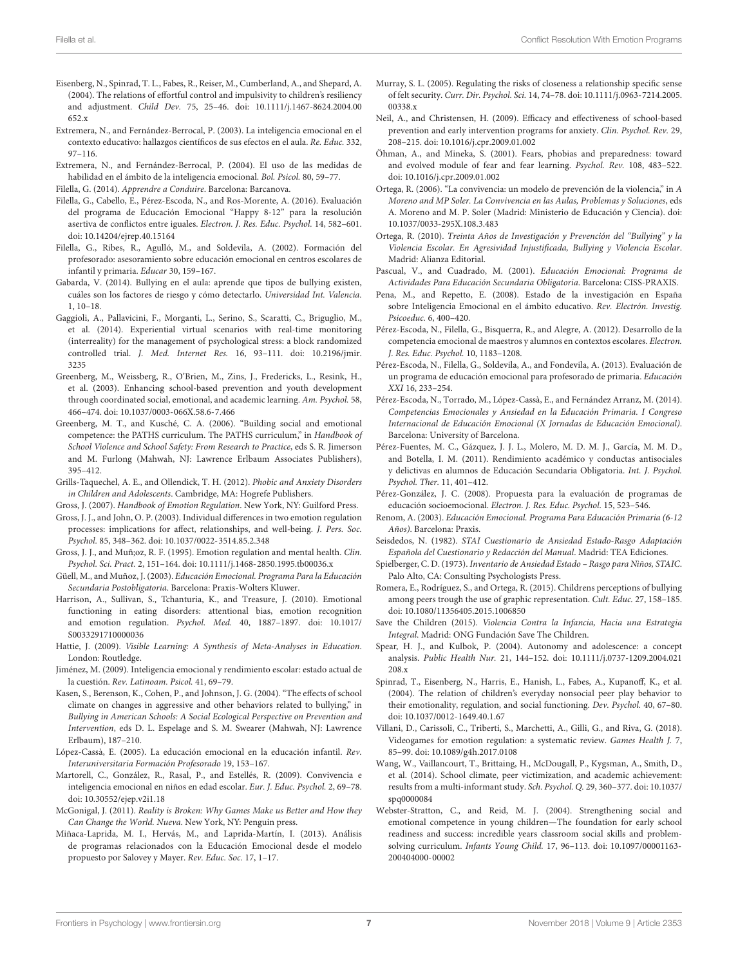- <span id="page-6-27"></span>Eisenberg, N., Spinrad, T. L., Fabes, R., Reiser, M., Cumberland, A., and Shepard, A. (2004). The relations of effortful control and impulsivity to children's resiliency and adjustment. Child Dev. 75, 25–46. [doi: 10.1111/j.1467-8624.2004.00](https://doi.org/10.1111/j.1467-8624.2004.00652.x) [652.x](https://doi.org/10.1111/j.1467-8624.2004.00652.x)
- <span id="page-6-7"></span>Extremera, N., and Fernández-Berrocal, P. (2003). La inteligencia emocional en el contexto educativo: hallazgos científicos de sus efectos en el aula. Re. Educ. 332, 97–116.
- <span id="page-6-30"></span>Extremera, N., and Fernández-Berrocal, P. (2004). El uso de las medidas de habilidad en el ámbito de la inteligencia emocional. Bol. Psicol. 80, 59–77.
- <span id="page-6-39"></span>Filella, G. (2014). Apprendre a Conduire. Barcelona: Barcanova.
- <span id="page-6-10"></span>Filella, G., Cabello, E., Pérez-Escoda, N., and Ros-Morente, A. (2016). Evaluación del programa de Educación Emocional "Happy 8-12" para la resolución asertiva de conflictos entre iguales. Electron. J. Res. Educ. Psychol. 14, 582–601. [doi: 10.14204/ejrep.40.15164](https://doi.org/10.14204/ejrep.40.15164)
- <span id="page-6-21"></span>Filella, G., Ribes, R., Agulló, M., and Soldevila, A. (2002). Formación del profesorado: asesoramiento sobre educación emocional en centros escolares de infantil y primaria. Educar 30, 159–167.
- <span id="page-6-0"></span>Gabarda, V. (2014). Bullying en el aula: aprende que tipos de bullying existen, cuáles son los factores de riesgo y cómo detectarlo. Universidad Int. Valencia. 1, 10–18.
- <span id="page-6-32"></span>Gaggioli, A., Pallavicini, F., Morganti, L., Serino, S., Scaratti, C., Briguglio, M., et al. (2014). Experiential virtual scenarios with real-time monitoring (interreality) for the management of psychological stress: a block randomized controlled trial. J. Med. Internet Res. 16, 93–111. [doi: 10.2196/jmir.](https://doi.org/10.2196/jmir.3235) [3235](https://doi.org/10.2196/jmir.3235)
- <span id="page-6-26"></span>Greenberg, M., Weissberg, R., O'Brien, M., Zins, J., Fredericks, L., Resink, H., et al. (2003). Enhancing school-based prevention and youth development through coordinated social, emotional, and academic learning. Am. Psychol. 58, 466–474. [doi: 10.1037/0003-066X.58.6-7.466](https://doi.org/10.1037/0003-066X.58.6-7.466)
- <span id="page-6-25"></span>Greenberg, M. T., and Kusché, C. A. (2006). "Building social and emotional competence: the PATHS curriculum. The PATHS curriculum," in Handbook of School Violence and School Safety: From Research to Practice, eds S. R. Jimerson and M. Furlong (Mahwah, NJ: Lawrence Erlbaum Associates Publishers), 395–412.
- <span id="page-6-44"></span>Grills-Taquechel, A. E., and Ollendick, T. H. (2012). Phobic and Anxiety Disorders in Children and Adolescents. Cambridge, MA: Hogrefe Publishers.
- <span id="page-6-35"></span>Gross, J. (2007). Handbook of Emotion Regulation. New York, NY: Guilford Press.
- <span id="page-6-12"></span>Gross, J. J., and John, O. P. (2003). Individual differences in two emotion regulation processes: implications for affect, relationships, and well-being. J. Pers. Soc. Psychol. 85, 348–362. [doi: 10.1037/0022-3514.85.2.348](https://doi.org/10.1037/0022-3514.85.2.348)
- <span id="page-6-13"></span>Gross, J. J., and Muñ;oz, R. F. (1995). Emotion regulation and mental health. Clin. Psychol. Sci. Pract. 2, 151–164. [doi: 10.1111/j.1468-2850.1995.tb00036.x](https://doi.org/10.1111/j.1468-2850.1995.tb00036.x)
- <span id="page-6-22"></span>Güell, M., and Muñoz, J. (2003). Educación Emocional. Programa Para la Educación Secundaria Postobligatoria. Barcelona: Praxis-Wolters Kluwer.
- <span id="page-6-15"></span>Harrison, A., Sullivan, S., Tchanturia, K., and Treasure, J. (2010). Emotional functioning in eating disorders: attentional bias, emotion recognition and emotion regulation. Psychol. Med. 40, 1887–1897. [doi: 10.1017/](https://doi.org/10.1017/S0033291710000036) [S0033291710000036](https://doi.org/10.1017/S0033291710000036)
- <span id="page-6-38"></span>Hattie, J. (2009). Visible Learning: A Synthesis of Meta-Analyses in Education. London: Routledge.
- <span id="page-6-29"></span>Jiménez, M. (2009). Inteligencia emocional y rendimiento escolar: estado actual de la cuestión. Rev. Latinoam. Psicol. 41, 69–79.
- <span id="page-6-2"></span>Kasen, S., Berenson, K., Cohen, P., and Johnson, J. G. (2004). "The effects of school climate on changes in aggressive and other behaviors related to bullying," in Bullying in American Schools: A Social Ecological Perspective on Prevention and Intervention, eds D. L. Espelage and S. M. Swearer (Mahwah, NJ: Lawrence Erlbaum), 187–210.
- <span id="page-6-24"></span>López-Cassà, E. (2005). La educación emocional en la educación infantil. Rev. Interuniversitaria Formación Profesorado 19, 153–167.
- <span id="page-6-4"></span>Martorell, C., González, R., Rasal, P., and Estellés, R. (2009). Convivencia e inteligencia emocional en niños en edad escolar. Eur. J. Educ. Psychol. 2, 69–78. [doi: 10.30552/ejep.v2i1.18](https://doi.org/10.30552/ejep.v2i1.18)
- <span id="page-6-41"></span>McGonigal, J. (2011). Reality is Broken: Why Games Make us Better and How they Can Change the World. Nueva. New York, NY: Penguin press.
- <span id="page-6-19"></span>Miñaca-Laprida, M. I., Hervás, M., and Laprida-Martín, I. (2013). Análisis de programas relacionados con la Educación Emocional desde el modelo propuesto por Salovey y Mayer. Rev. Educ. Soc. 17, 1–17.
- <span id="page-6-14"></span>Murray, S. L. (2005). Regulating the risks of closeness a relationship specific sense of felt security. Curr. Dir. Psychol. Sci. 14, 74–78. [doi: 10.1111/j.0963-7214.2005.](https://doi.org/10.1111/j.0963-7214.2005.00338.x) [00338.x](https://doi.org/10.1111/j.0963-7214.2005.00338.x)
- <span id="page-6-43"></span>Neil, A., and Christensen, H. (2009). Efficacy and effectiveness of school-based prevention and early intervention programs for anxiety. Clin. Psychol. Rev. 29, 208–215. [doi: 10.1016/j.cpr.2009.01.002](https://doi.org/10.1016/j.cpr.2009.01.002)
- <span id="page-6-11"></span>Öhman, A., and Mineka, S. (2001). Fears, phobias and preparedness: toward and evolved module of fear and fear learning. Psychol. Rev. 108, 483–522. [doi: 10.1016/j.cpr.2009.01.002](https://doi.org/10.1016/j.cpr.2009.01.002)
- <span id="page-6-16"></span>Ortega, R. (2006). "La convivencia: un modelo de prevención de la violencia," in A Moreno and MP Soler. La Convivencia en las Aulas, Problemas y Soluciones, eds A. Moreno and M. P. Soler (Madrid: Ministerio de Educación y Ciencia). [doi:](https://doi.org/10.1037/0033-295X.108.3.483) [10.1037/0033-295X.108.3.483](https://doi.org/10.1037/0033-295X.108.3.483)
- <span id="page-6-6"></span>Ortega, R. (2010). Treinta Años de Investigación y Prevención del "Bullying" y la Violencia Escolar. En Agresividad Injustificada, Bullying y Violencia Escolar. Madrid: Alianza Editorial.
- <span id="page-6-20"></span>Pascual, V., and Cuadrado, M. (2001). Educación Emocional: Programa de Actividades Para Educación Secundaria Obligatoria. Barcelona: CISS-PRAXIS.
- <span id="page-6-17"></span>Pena, M., and Repetto, E. (2008). Estado de la investigación en España sobre Inteligencia Emocional en el ámbito educativo. Rev. Electrón. Investig. Psicoeduc. 6, 400–420.
- <span id="page-6-18"></span>Pérez-Escoda, N., Filella, G., Bisquerra, R., and Alegre, A. (2012). Desarrollo de la competencia emocional de maestros y alumnos en contextos escolares. Electron. J. Res. Educ. Psychol. 10, 1183–1208.
- <span id="page-6-8"></span>Pérez-Escoda, N., Filella, G., Soldevila, A., and Fondevila, A. (2013). Evaluación de un programa de educación emocional para profesorado de primaria. Educación XXI 16, 233–254.
- <span id="page-6-31"></span>Pérez-Escoda, N., Torrado, M., López-Cassà, E., and Fernández Arranz, M. (2014). Competencias Emocionales y Ansiedad en la Educación Primaria. I Congreso Internacional de Educación Emocional (X Jornadas de Educación Emocional). Barcelona: University of Barcelona.
- <span id="page-6-5"></span>Pérez-Fuentes, M. C., Gázquez, J. J. L., Molero, M. D. M. J., García, M. M. D., and Botella, I. M. (2011). Rendimiento académico y conductas antisociales y delictivas en alumnos de Educación Secundaria Obligatoria. Int. J. Psychol. Psychol. Ther. 11, 401–412.
- <span id="page-6-28"></span>Pérez-González, J. C. (2008). Propuesta para la evaluación de programas de educación socioemocional. Electron. J. Res. Educ. Psychol. 15, 523–546.
- <span id="page-6-23"></span>Renom, A. (2003). Educación Emocional. Programa Para Educación Primaria (6-12 Años). Barcelona: Praxis.
- <span id="page-6-37"></span>Seisdedos, N. (1982). STAI Cuestionario de Ansiedad Estado-Rasgo Adaptación Española del Cuestionario y Redacción del Manual. Madrid: TEA Ediciones.
- <span id="page-6-36"></span>Spielberger, C. D. (1973). Inventario de Ansiedad Estado – Rasgo para Niños, STAIC. Palo Alto, CA: Consulting Psychologists Press.
- <span id="page-6-9"></span>Romera, E., Rodríguez, S., and Ortega, R. (2015). Childrens perceptions of bullying among peers trough the use of graphic representation. Cult. Educ. 27, 158–185. [doi: 10.1080/11356405.2015.1006850](https://doi.org/10.1080/11356405.2015.1006850)
- <span id="page-6-1"></span>Save the Children (2015). Violencia Contra la Infancia, Hacia una Estrategia Integral. Madrid: ONG Fundación Save The Children.
- <span id="page-6-42"></span>Spear, H. J., and Kulbok, P. (2004). Autonomy and adolescence: a concept analysis. Public Health Nur. 21, 144–152. [doi: 10.1111/j.0737-1209.2004.021](https://doi.org/10.1111/j.0737-1209.2004.021208.x) [208.x](https://doi.org/10.1111/j.0737-1209.2004.021208.x)
- <span id="page-6-40"></span>Spinrad, T., Eisenberg, N., Harris, E., Hanish, L., Fabes, A., Kupanoff, K., et al. (2004). The relation of children's everyday nonsocial peer play behavior to their emotionality, regulation, and social functioning. Dev. Psychol. 40, 67–80. [doi: 10.1037/0012-1649.40.1.67](https://doi.org/10.1037/0012-1649.40.1.67)
- <span id="page-6-33"></span>Villani, D., Carissoli, C., Triberti, S., Marchetti, A., Gilli, G., and Riva, G. (2018). Videogames for emotion regulation: a systematic review. Games Health J. 7, 85–99. [doi: 10.1089/g4h.2017.0108](https://doi.org/10.1089/g4h.2017.0108)
- <span id="page-6-3"></span>Wang, W., Vaillancourt, T., Brittaing, H., McDougall, P., Kygsman, A., Smith, D., et al. (2014). School climate, peer victimization, and academic achievement: results from a multi-informant study. Sch. Psychol. Q. 29, 360–377. [doi: 10.1037/](https://doi.org/10.1037/spq0000084) [spq0000084](https://doi.org/10.1037/spq0000084)
- <span id="page-6-34"></span>Webster-Stratton, C., and Reid, M. J. (2004). Strengthening social and emotional competence in young children—The foundation for early school readiness and success: incredible years classroom social skills and problemsolving curriculum. Infants Young Child. 17, 96–113. [doi: 10.1097/00001163-](https://doi.org/10.1097/00001163-200404000-00002) [200404000-00002](https://doi.org/10.1097/00001163-200404000-00002)